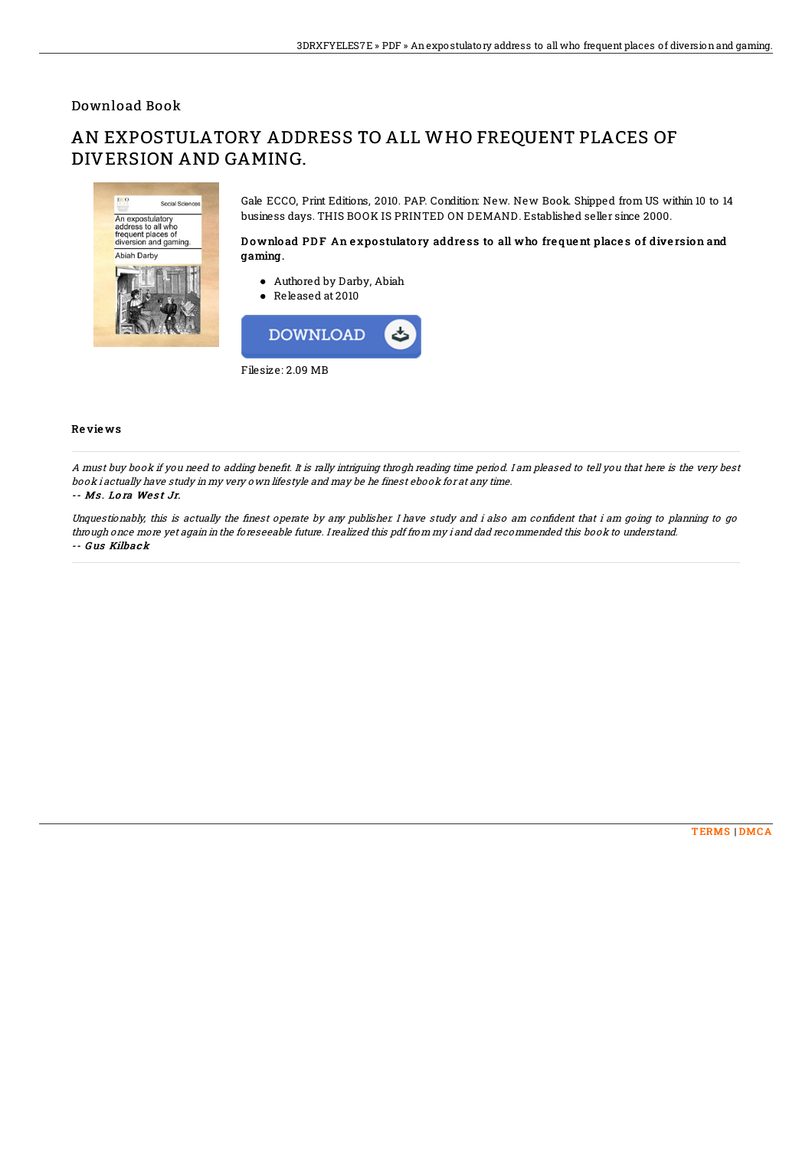## Download Book

# AN EXPOSTULATORY ADDRESS TO ALL WHO FREQUENT PLACES OF DIVERSION AND GAMING.



Gale ECCO, Print Editions, 2010. PAP. Condition: New. New Book. Shipped from US within 10 to 14 business days. THIS BOOK IS PRINTED ON DEMAND. Established seller since 2000.

#### Download PDF An expostulatory address to all who frequent places of diversion and gaming.

- Authored by Darby, Abiah
- $\bullet$  Released at 2010



#### Reviews

A must buy book if you need to adding benefit. It is rally intriguing throgh reading time period. I am pleased to tell you that here is the very best book i actually have study in my very own lifestyle and may be he finest ebook for at any time.

### -- Ms. Lora West Jr.

Unquestionably, this is actually the finest operate by any publisher. I have study and i also am confident that i am going to planning to go through once more yet again in the foreseeable future. I realized this pdf from my i and dad recommended this book to understand. -- Gus Kilback